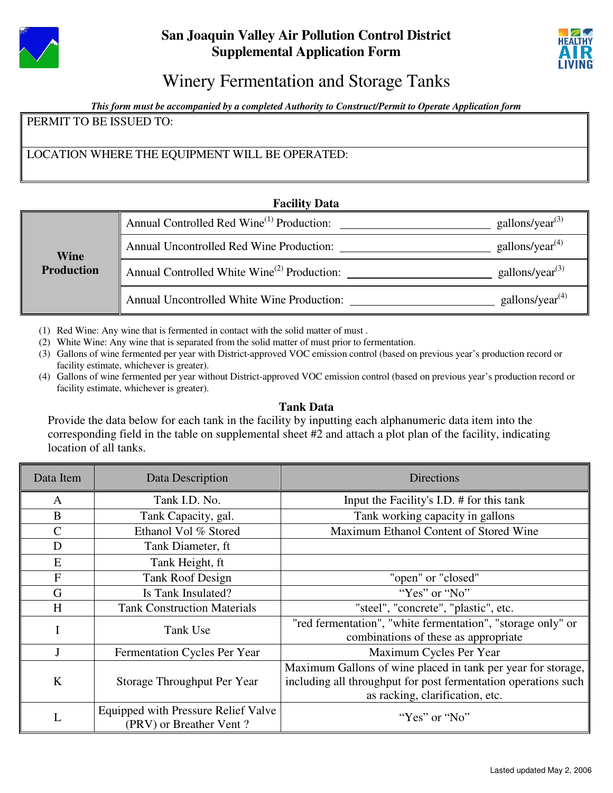



# Winery Fermentation and Storage Tanks

*This form must be accompanied by a completed Authority to Construct/Permit to Operate Application form*

PERMIT TO BE ISSUED TO:

LOCATION WHERE THE EQUIPMENT WILL BE OPERATED:

## **Facility Data**

| <b>Wine</b><br><b>Production</b> | Annual Controlled Red Wine <sup>(1)</sup> Production:   | gallons/year <sup>(3)</sup>              |  |  |  |
|----------------------------------|---------------------------------------------------------|------------------------------------------|--|--|--|
|                                  | Annual Uncontrolled Red Wine Production:                | gallons/year <sup><math>(4)</math></sup> |  |  |  |
|                                  | Annual Controlled White Wine <sup>(2)</sup> Production: | gallons/year <sup><math>(3)</math></sup> |  |  |  |
|                                  | Annual Uncontrolled White Wine Production:              | gallons/year <sup><math>(4)</math></sup> |  |  |  |

(1) Red Wine: Any wine that is fermented in contact with the solid matter of must .

(2) White Wine: Any wine that is separated from the solid matter of must prior to fermentation.

- (3) Gallons of wine fermented per year with District-approved VOC emission control (based on previous year's production record or facility estimate, whichever is greater).
- (4) Gallons of wine fermented per year without District-approved VOC emission control (based on previous year's production record or facility estimate, whichever is greater).

## **Tank Data**

Provide the data below for each tank in the facility by inputting each alphanumeric data item into the corresponding field in the table on supplemental sheet #2 and attach a plot plan of the facility, indicating location of all tanks.

| Data Item     | Data Description                                               | <b>Directions</b>                                                                                                                                                 |
|---------------|----------------------------------------------------------------|-------------------------------------------------------------------------------------------------------------------------------------------------------------------|
| A             | Tank I.D. No.                                                  | Input the Facility's I.D. # for this tank                                                                                                                         |
| B             | Tank Capacity, gal.                                            | Tank working capacity in gallons                                                                                                                                  |
| $\mathcal{C}$ | Ethanol Vol % Stored                                           | Maximum Ethanol Content of Stored Wine                                                                                                                            |
| D             | Tank Diameter, ft                                              |                                                                                                                                                                   |
| E             | Tank Height, ft                                                |                                                                                                                                                                   |
| F             | <b>Tank Roof Design</b>                                        | "open" or "closed"                                                                                                                                                |
| G             | Is Tank Insulated?                                             | "Yes" or "No"                                                                                                                                                     |
| H             | <b>Tank Construction Materials</b>                             | "steel", "concrete", "plastic", etc.                                                                                                                              |
|               | Tank Use                                                       | "red fermentation", "white fermentation", "storage only" or<br>combinations of these as appropriate                                                               |
|               | Fermentation Cycles Per Year                                   | Maximum Cycles Per Year                                                                                                                                           |
| K             | Storage Throughput Per Year                                    | Maximum Gallons of wine placed in tank per year for storage,<br>including all throughput for post fermentation operations such<br>as racking, clarification, etc. |
| L             | Equipped with Pressure Relief Valve<br>(PRV) or Breather Vent? | "Yes" or "No"                                                                                                                                                     |